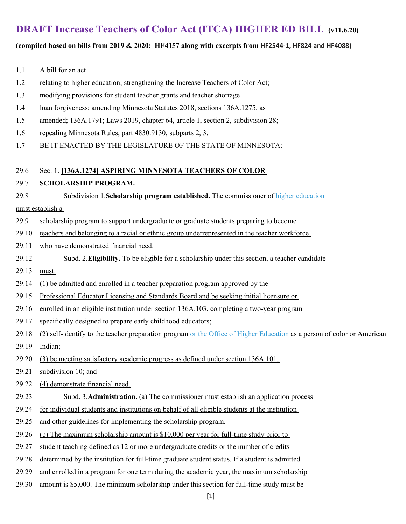# **DRAFT Increase Teachers of Color Act (ITCA) HIGHER ED BILL (v11.6.20)**

### **(compiled based on bills from 2019 & 2020: HF4157 along with excerpts from HF2544‐1, HF824 and HF4088)**

- 1.1 A bill for an act
- 1.2 relating to higher education; strengthening the Increase Teachers of Color Act;
- 1.3 modifying provisions for student teacher grants and teacher shortage
- 1.4 loan forgiveness; amending Minnesota Statutes 2018, sections 136A.1275, as
- 1.5 amended; 136A.1791; Laws 2019, chapter 64, article 1, section 2, subdivision 28;
- 1.6 repealing Minnesota Rules, part 4830.9130, subparts 2, 3.
- 1.7 BE IT ENACTED BY THE LEGISLATURE OF THE STATE OF MINNESOTA:

#### 29.6 Sec. 1. **[136A.1274] ASPIRING MINNESOTA TEACHERS OF COLOR**

### 29.7 **SCHOLARSHIP PROGRAM.**

29.8 Subdivision 1.**Scholarship program established.** The commissioner of higher education

### must establish a

- 29.9 scholarship program to support undergraduate or graduate students preparing to become
- 29.10 teachers and belonging to a racial or ethnic group underrepresented in the teacher workforce
- 29.11 who have demonstrated financial need.
- 29.12 Subd. 2.**Eligibility.** To be eligible for a scholarship under this section, a teacher candidate
- 29.13 must:
- 29.14 (1) be admitted and enrolled in a teacher preparation program approved by the
- 29.15 Professional Educator Licensing and Standards Board and be seeking initial licensure or
- 29.16 enrolled in an eligible institution under section 136A.103, completing a two-year program
- 29.17 specifically designed to prepare early childhood educators;
- 29.18 (2) self-identify to the teacher preparation program or the Office of Higher Education as a person of color or American
- 29.19 Indian;
- 29.20 (3) be meeting satisfactory academic progress as defined under section 136A.101,
- 29.21 subdivision 10; and
- 29.22 (4) demonstrate financial need.
- 29.23 Subd. 3.**Administration.** (a) The commissioner must establish an application process
- 29.24 for individual students and institutions on behalf of all eligible students at the institution
- 29.25 and other guidelines for implementing the scholarship program.
- 29.26 (b) The maximum scholarship amount is \$10,000 per year for full-time study prior to
- 29.27 student teaching defined as 12 or more undergraduate credits or the number of credits
- 29.28 determined by the institution for full-time graduate student status. If a student is admitted
- 29.29 and enrolled in a program for one term during the academic year, the maximum scholarship
- 29.30 amount is \$5,000. The minimum scholarship under this section for full-time study must be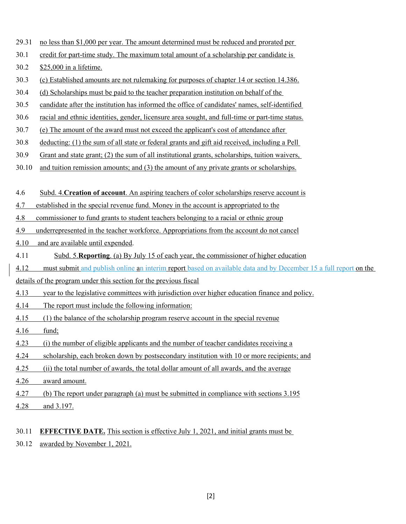- 29.31 no less than \$1,000 per year. The amount determined must be reduced and prorated per
- 30.1 credit for part-time study. The maximum total amount of a scholarship per candidate is
- 30.2 \$25,000 in a lifetime.
- 30.3 (c) Established amounts are not rulemaking for purposes of chapter 14 or section 14.386.
- 30.4 (d) Scholarships must be paid to the teacher preparation institution on behalf of the
- 30.5 candidate after the institution has informed the office of candidates' names, self-identified
- 30.6 racial and ethnic identities, gender, licensure area sought, and full-time or part-time status.
- 30.7 (e) The amount of the award must not exceed the applicant's cost of attendance after
- 30.8 deducting: (1) the sum of all state or federal grants and gift aid received, including a Pell
- 30.9 Grant and state grant; (2) the sum of all institutional grants, scholarships, tuition waivers,
- 30.10 and tuition remission amounts; and (3) the amount of any private grants or scholarships.
- 4.6 Subd. 4.**Creation of account**. An aspiring teachers of color scholarships reserve account is
- 4.7 established in the special revenue fund. Money in the account is appropriated to the
- 4.8 commissioner to fund grants to student teachers belonging to a racial or ethnic group
- 4.9 underrepresented in the teacher workforce. Appropriations from the account do not cancel
- 4.10 and are available until expended.
- 4.11 Subd. 5.**Reporting**. (a) By July 15 of each year, the commissioner of higher education
- 4.12 must submit and publish online an interim report based on available data and by December 15 a full report on the
- details of the program under this section for the previous fiscal
- 4.13 year to the legislative committees with jurisdiction over higher education finance and policy.
- 4.14 The report must include the following information:
- 4.15 (1) the balance of the scholarship program reserve account in the special revenue
- 4.16 fund;
- 4.23 (i) the number of eligible applicants and the number of teacher candidates receiving a
- 4.24 scholarship, each broken down by postsecondary institution with 10 or more recipients; and
- 4.25 (ii) the total number of awards, the total dollar amount of all awards, and the average
- 4.26 award amount.
- 4.27 (b) The report under paragraph (a) must be submitted in compliance with sections 3.195
- 4.28 and 3.197.
- 30.11 **EFFECTIVE DATE.** This section is effective July 1, 2021, and initial grants must be
- 30.12 awarded by November 1, 2021.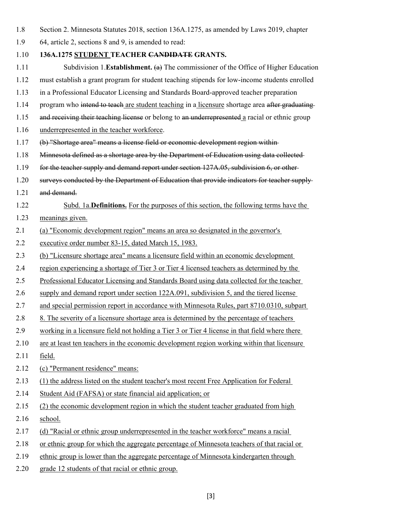- 1.8 Section 2. Minnesota Statutes 2018, section 136A.1275, as amended by Laws 2019, chapter
- 1.9 64, article 2, sections 8 and 9, is amended to read:
- 1.10 **136A.1275 STUDENT TEACHER CANDIDATE GRANTS.**
- 1.11 Subdivision 1.**Establishment.** (a) The commissioner of the Office of Higher Education
- 1.12 must establish a grant program for student teaching stipends for low-income students enrolled
- 1.13 in a Professional Educator Licensing and Standards Board-approved teacher preparation
- 1.14 program who intend to teach are student teaching in a licensure shortage area after graduating
- 1.15 and receiving their teaching license or belong to an underrepresented a racial or ethnic group
- 1.16 underrepresented in the teacher workforce.
- 1.17 (b) "Shortage area" means a license field or economic development region within
- 1.18 Minnesota defined as a shortage area by the Department of Education using data collected
- 1.19 for the teacher supply and demand report under section 127A.05, subdivision 6, or other
- 1.20 surveys conducted by the Department of Education that provide indicators for teacher supply-
- 1.21 and demand.
- 1.22 Subd. 1a.**Definitions.** For the purposes of this section, the following terms have the
- 1.23 meanings given.
- 2.1 (a) "Economic development region" means an area so designated in the governor's
- 2.2 executive order number 83-15, dated March 15, 1983.
- 2.3 (b) "Licensure shortage area" means a licensure field within an economic development
- 2.4 region experiencing a shortage of Tier 3 or Tier 4 licensed teachers as determined by the
- 2.5 Professional Educator Licensing and Standards Board using data collected for the teacher
- 2.6 supply and demand report under section 122A.091, subdivision 5, and the tiered license
- 2.7 and special permission report in accordance with Minnesota Rules, part 8710.0310, subpart
- 2.8 8. The severity of a licensure shortage area is determined by the percentage of teachers
- 2.9 working in a licensure field not holding a Tier 3 or Tier 4 license in that field where there
- 2.10 are at least ten teachers in the economic development region working within that licensure
- 2.11 field.
- 2.12 (c) "Permanent residence" means:
- 2.13 (1) the address listed on the student teacher's most recent Free Application for Federal
- 2.14 Student Aid (FAFSA) or state financial aid application; or
- 2.15 (2) the economic development region in which the student teacher graduated from high
- 2.16 school.
- 2.17 (d) "Racial or ethnic group underrepresented in the teacher workforce" means a racial
- 2.18 or ethnic group for which the aggregate percentage of Minnesota teachers of that racial or
- 2.19 ethnic group is lower than the aggregate percentage of Minnesota kindergarten through
- 2.20 grade 12 students of that racial or ethnic group.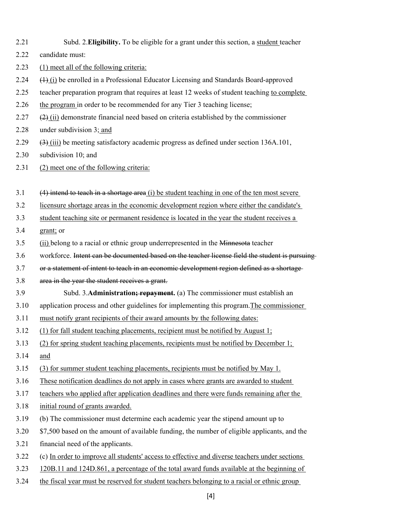| 2.21 | Subd. 2. Eligibility. To be eligible for a grant under this section, a student teacher                        |  |  |  |
|------|---------------------------------------------------------------------------------------------------------------|--|--|--|
| 2.22 | candidate must:                                                                                               |  |  |  |
| 2.23 | (1) meet all of the following criteria:                                                                       |  |  |  |
| 2.24 | $\left(\frac{1}{2}\right)$ be enrolled in a Professional Educator Licensing and Standards Board-approved      |  |  |  |
| 2.25 | teacher preparation program that requires at least 12 weeks of student teaching to complete                   |  |  |  |
| 2.26 | the program in order to be recommended for any Tier 3 teaching license;                                       |  |  |  |
| 2.27 | $\frac{2}{2}$ (ii) demonstrate financial need based on criteria established by the commissioner               |  |  |  |
| 2.28 | under subdivision 3; and                                                                                      |  |  |  |
| 2.29 | $\left(\frac{3}{2}\right)$ (iii) be meeting satisfactory academic progress as defined under section 136A.101, |  |  |  |
| 2.30 | subdivision 10; and                                                                                           |  |  |  |
| 2.31 | (2) meet one of the following criteria:                                                                       |  |  |  |
|      |                                                                                                               |  |  |  |
| 3.1  | $(4)$ intend to teach in a shortage area $(i)$ be student teaching in one of the ten most severe              |  |  |  |
| 3.2  | licensure shortage areas in the economic development region where either the candidate's                      |  |  |  |
| 3.3  | student teaching site or permanent residence is located in the year the student receives a                    |  |  |  |
| 3.4  | grant; or                                                                                                     |  |  |  |
| 3.5  | (ii) belong to a racial or ethnic group underrepresented in the Minnesota teacher                             |  |  |  |
| 3.6  | workforce. Intent can be documented based on the teacher license field the student is pursuing                |  |  |  |
|      |                                                                                                               |  |  |  |
| 3.7  | or a statement of intent to teach in an economic development region defined as a shortage-                    |  |  |  |
| 3.8  | area in the year the student receives a grant.                                                                |  |  |  |
| 3.9  | Subd. 3. Administration; repayment. (a) The commissioner must establish an                                    |  |  |  |
| 3.10 | application process and other guidelines for implementing this program. The commissioner                      |  |  |  |
| 3.11 | must notify grant recipients of their award amounts by the following dates:                                   |  |  |  |
| 3.12 | (1) for fall student teaching placements, recipient must be notified by August 1;                             |  |  |  |
| 3.13 | (2) for spring student teaching placements, recipients must be notified by December 1;                        |  |  |  |
| 3.14 | and                                                                                                           |  |  |  |
| 3.15 | (3) for summer student teaching placements, recipients must be notified by May 1.                             |  |  |  |
| 3.16 | These notification deadlines do not apply in cases where grants are awarded to student                        |  |  |  |
| 3.17 | teachers who applied after application deadlines and there were funds remaining after the                     |  |  |  |
| 3.18 | initial round of grants awarded.                                                                              |  |  |  |
| 3.19 | (b) The commissioner must determine each academic year the stipend amount up to                               |  |  |  |
| 3.20 | \$7,500 based on the amount of available funding, the number of eligible applicants, and the                  |  |  |  |
| 3.21 | financial need of the applicants.                                                                             |  |  |  |
| 3.22 | (c) In order to improve all students' access to effective and diverse teachers under sections                 |  |  |  |
| 3.23 | 120B.11 and 124D.861, a percentage of the total award funds available at the beginning of                     |  |  |  |

[4]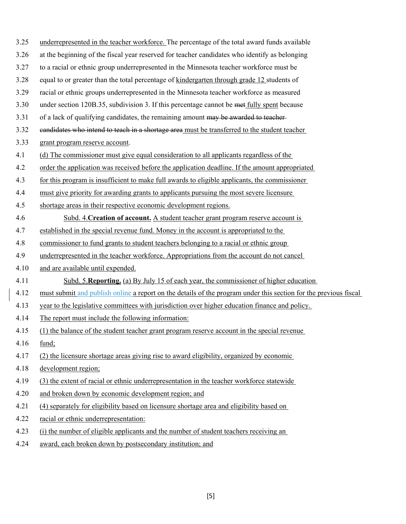| 3.25 | underrepresented in the teacher workforce. The percentage of the total award funds available                     |
|------|------------------------------------------------------------------------------------------------------------------|
| 3.26 | at the beginning of the fiscal year reserved for teacher candidates who identify as belonging                    |
| 3.27 | to a racial or ethnic group underrepresented in the Minnesota teacher workforce must be                          |
| 3.28 | equal to or greater than the total percentage of kindergarten through grade 12 students of                       |
| 3.29 | racial or ethnic groups underrepresented in the Minnesota teacher workforce as measured                          |
| 3.30 | under section 120B.35, subdivision 3. If this percentage cannot be met fully spent because                       |
| 3.31 | of a lack of qualifying candidates, the remaining amount may be awarded to teacher-                              |
| 3.32 | eandidates who intend to teach in a shortage area must be transferred to the student teacher                     |
| 3.33 | grant program reserve account.                                                                                   |
| 4.1  | (d) The commissioner must give equal consideration to all applicants regardless of the                           |
| 4.2  | order the application was received before the application deadline. If the amount appropriated                   |
| 4.3  | for this program is insufficient to make full awards to eligible applicants, the commissioner                    |
| 4.4  | must give priority for awarding grants to applicants pursuing the most severe licensure                          |
| 4.5  | shortage areas in their respective economic development regions.                                                 |
| 4.6  | Subd. 4. Creation of account. A student teacher grant program reserve account is                                 |
| 4.7  | established in the special revenue fund. Money in the account is appropriated to the                             |
| 4.8  | commissioner to fund grants to student teachers belonging to a racial or ethnic group                            |
| 4.9  | underrepresented in the teacher workforce. Appropriations from the account do not cancel                         |
| 4.10 | and are available until expended.                                                                                |
| 4.11 | Subd. 5. Reporting. (a) By July 15 of each year, the commissioner of higher education                            |
| 4.12 | must submit and publish online a report on the details of the program under this section for the previous fiscal |
| 4.13 | year to the legislative committees with jurisdiction over higher education finance and policy.                   |
| 4.14 | The report must include the following information:                                                               |
| 4.15 | (1) the balance of the student teacher grant program reserve account in the special revenue                      |
| 4.16 | fund;                                                                                                            |
| 4.17 | (2) the licensure shortage areas giving rise to award eligibility, organized by economic                         |
| 4.18 | development region;                                                                                              |
| 4.19 | (3) the extent of racial or ethnic underrepresentation in the teacher workforce statewide                        |
| 4.20 | and broken down by economic development region; and                                                              |
| 4.21 | (4) separately for eligibility based on licensure shortage area and eligibility based on                         |
| 4.22 | racial or ethnic underrepresentation:                                                                            |
| 4.23 | (i) the number of eligible applicants and the number of student teachers receiving an                            |
| 4.24 | award, each broken down by postsecondary institution; and                                                        |

 $\overline{\phantom{a}}$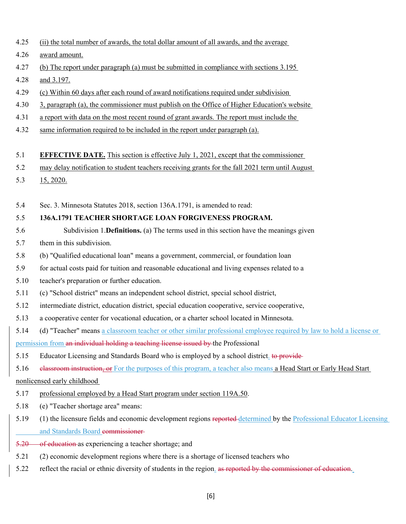- 4.26 award amount.
- 4.27 (b) The report under paragraph (a) must be submitted in compliance with sections 3.195
- 4.28 and 3.197.
- 4.29 (c) Within 60 days after each round of award notifications required under subdivision
- 4.30 3, paragraph (a), the commissioner must publish on the Office of Higher Education's website
- 4.31 a report with data on the most recent round of grant awards. The report must include the
- 4.32 same information required to be included in the report under paragraph (a).

#### 5.1 **EFFECTIVE DATE.** This section is effective July 1, 2021, except that the commissioner

- 5.2 may delay notification to student teachers receiving grants for the fall 2021 term until August
- 5.3 15, 2020.
- 5.4 Sec. 3. Minnesota Statutes 2018, section 136A.1791, is amended to read:

### 5.5 **136A.1791 TEACHER SHORTAGE LOAN FORGIVENESS PROGRAM.**

- 5.6 Subdivision 1.**Definitions.** (a) The terms used in this section have the meanings given
- 5.7 them in this subdivision.
- 5.8 (b) "Qualified educational loan" means a government, commercial, or foundation loan
- 5.9 for actual costs paid for tuition and reasonable educational and living expenses related to a
- 5.10 teacher's preparation or further education.
- 5.11 (c) "School district" means an independent school district, special school district,
- 5.12 intermediate district, education district, special education cooperative, service cooperative,
- 5.13 a cooperative center for vocational education, or a charter school located in Minnesota.
- 5.14 (d) "Teacher" means a classroom teacher or other similar professional employee required by law to hold a license or permission from an individual holding a teaching license issued by the Professional
- 5.15 Educator Licensing and Standards Board who is employed by a school district. to provide

5.16 elassroom instruction, or For the purposes of this program, a teacher also means a Head Start or Early Head Start nonlicensed early childhood

- 5.17 professional employed by a Head Start program under section 119A.50.
- 5.18 (e) "Teacher shortage area" means:
- 5.19 (1) the licensure fields and economic development regions reported determined by the Professional Educator Licensing and Standards Board commissioner-
- 5.20 of education as experiencing a teacher shortage; and
- 5.21 (2) economic development regions where there is a shortage of licensed teachers who
- 5.22 reflect the racial or ethnic diversity of students in the region. as reported by the commissioner of education.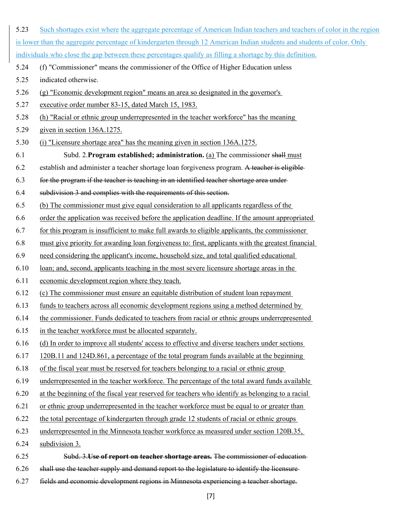| 5.23 | Such shortages exist where the aggregate percentage of American Indian teachers and teachers of color in the region    |  |  |  |  |
|------|------------------------------------------------------------------------------------------------------------------------|--|--|--|--|
|      | is lower than the aggregate percentage of kindergarten through 12 American Indian students and students of color. Only |  |  |  |  |
|      | individuals who close the gap between these percentages qualify as filling a shortage by this definition.              |  |  |  |  |
| 5.24 | (f) "Commissioner" means the commissioner of the Office of Higher Education unless                                     |  |  |  |  |
| 5.25 | indicated otherwise.                                                                                                   |  |  |  |  |
| 5.26 | (g) "Economic development region" means an area so designated in the governor's                                        |  |  |  |  |
| 5.27 | executive order number 83-15, dated March 15, 1983.                                                                    |  |  |  |  |
| 5.28 | (h) "Racial or ethnic group underrepresented in the teacher workforce" has the meaning                                 |  |  |  |  |
| 5.29 | given in section 136A.1275.                                                                                            |  |  |  |  |
| 5.30 | (i) "Licensure shortage area" has the meaning given in section 136A.1275.                                              |  |  |  |  |
| 6.1  | Subd. 2. Program established; administration. (a) The commissioner shall must                                          |  |  |  |  |
| 6.2  | establish and administer a teacher shortage loan forgiveness program. A teacher is eligible-                           |  |  |  |  |
| 6.3  | for the program if the teacher is teaching in an identified teacher shortage area under-                               |  |  |  |  |
| 6.4  | subdivision 3 and complies with the requirements of this section.                                                      |  |  |  |  |
| 6.5  | (b) The commissioner must give equal consideration to all applicants regardless of the                                 |  |  |  |  |
| 6.6  | order the application was received before the application deadline. If the amount appropriated                         |  |  |  |  |
| 6.7  | for this program is insufficient to make full awards to eligible applicants, the commissioner                          |  |  |  |  |
| 6.8  | must give priority for awarding loan for giveness to: first, applicants with the greatest financial                    |  |  |  |  |
| 6.9  | need considering the applicant's income, household size, and total qualified educational                               |  |  |  |  |
| 6.10 | loan; and, second, applicants teaching in the most severe licensure shortage areas in the                              |  |  |  |  |
| 6.11 | economic development region where they teach.                                                                          |  |  |  |  |
| 6.12 | (c) The commissioner must ensure an equitable distribution of student loan repayment                                   |  |  |  |  |
| 6.13 | funds to teachers across all economic development regions using a method determined by                                 |  |  |  |  |
| 6.14 | the commissioner. Funds dedicated to teachers from racial or ethnic groups underrepresented                            |  |  |  |  |
| 6.15 | in the teacher workforce must be allocated separately.                                                                 |  |  |  |  |
| 6.16 | (d) In order to improve all students' access to effective and diverse teachers under sections                          |  |  |  |  |
| 6.17 | 120B.11 and 124D.861, a percentage of the total program funds available at the beginning                               |  |  |  |  |
| 6.18 | of the fiscal year must be reserved for teachers belonging to a racial or ethnic group                                 |  |  |  |  |
| 6.19 | underrepresented in the teacher workforce. The percentage of the total award funds available                           |  |  |  |  |
| 6.20 | at the beginning of the fiscal year reserved for teachers who identify as belonging to a racial                        |  |  |  |  |
| 6.21 | or ethnic group underrepresented in the teacher workforce must be equal to or greater than                             |  |  |  |  |
| 6.22 | the total percentage of kindergarten through grade 12 students of racial or ethnic groups                              |  |  |  |  |
| 6.23 | underrepresented in the Minnesota teacher workforce as measured under section 120B.35,                                 |  |  |  |  |
| 6.24 | subdivision 3.                                                                                                         |  |  |  |  |
| 6.25 | Subd. 3. Use of report on teacher shortage areas. The commissioner of education-                                       |  |  |  |  |
| 6.26 | shall use the teacher supply and demand report to the legislature to identify the licensure-                           |  |  |  |  |
| 6.27 | fields and economic development regions in Minnesota experiencing a teacher shortage.                                  |  |  |  |  |

[7]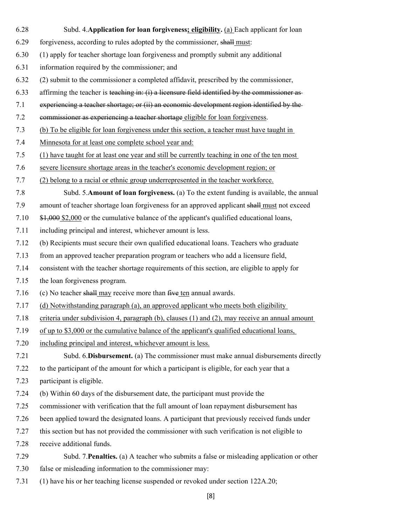- 6.28 Subd. 4.**Application for loan forgiveness; eligibility.** (a) Each applicant for loan
	- 6.29 forgiveness, according to rules adopted by the commissioner, shall must:
	- 6.30 (1) apply for teacher shortage loan forgiveness and promptly submit any additional
- 6.31 information required by the commissioner; and
- 6.32 (2) submit to the commissioner a completed affidavit, prescribed by the commissioner,
- 6.33 affirming the teacher is teaching in: (i) a licensure field identified by the commissioner as-
- 7.1 experiencing a teacher shortage; or (ii) an economic development region identified by the
- 7.2 commissioner as experiencing a teacher shortage eligible for loan forgiveness.
- 7.3 (b) To be eligible for loan forgiveness under this section, a teacher must have taught in
- 7.4 Minnesota for at least one complete school year and:
- 7.5 (1) have taught for at least one year and still be currently teaching in one of the ten most
- 7.6 severe licensure shortage areas in the teacher's economic development region; or
- 7.7 (2) belong to a racial or ethnic group underrepresented in the teacher workforce.
- 7.8 Subd. 5.**Amount of loan forgiveness.** (a) To the extent funding is available, the annual
- 7.9 amount of teacher shortage loan forgiveness for an approved applicant shall must not exceed
- 7.10 \$1,000 \$2,000 or the cumulative balance of the applicant's qualified educational loans,
- 7.11 including principal and interest, whichever amount is less.
- 7.12 (b) Recipients must secure their own qualified educational loans. Teachers who graduate
- 7.13 from an approved teacher preparation program or teachers who add a licensure field,
- 7.14 consistent with the teacher shortage requirements of this section, are eligible to apply for
- 7.15 the loan forgiveness program.
- 7.16 (c) No teacher shall may receive more than five ten annual awards.
- 7.17 (d) Notwithstanding paragraph (a), an approved applicant who meets both eligibility
- 7.18 criteria under subdivision 4, paragraph (b), clauses (1) and (2), may receive an annual amount
- 7.19 of up to \$3,000 or the cumulative balance of the applicant's qualified educational loans,
- 7.20 including principal and interest, whichever amount is less.
- 7.21 Subd. 6.**Disbursement.** (a) The commissioner must make annual disbursements directly
- 7.22 to the participant of the amount for which a participant is eligible, for each year that a
- 7.23 participant is eligible.
- 7.24 (b) Within 60 days of the disbursement date, the participant must provide the
- 7.25 commissioner with verification that the full amount of loan repayment disbursement has
- 7.26 been applied toward the designated loans. A participant that previously received funds under
- 7.27 this section but has not provided the commissioner with such verification is not eligible to
- 7.28 receive additional funds.
- 7.29 Subd. 7.**Penalties.** (a) A teacher who submits a false or misleading application or other
- 7.30 false or misleading information to the commissioner may:
- 7.31 (1) have his or her teaching license suspended or revoked under section 122A.20;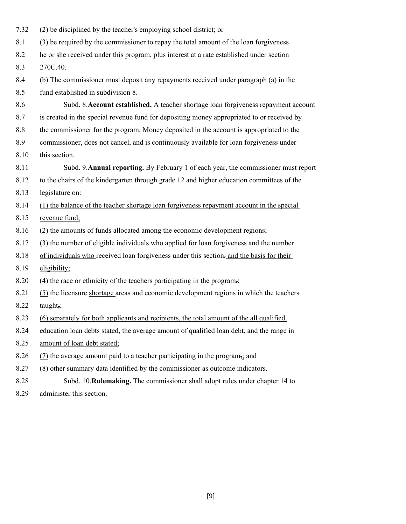| 7.32 | (2) be disciplined by the teacher's employing school district; or                          |  |  |  |
|------|--------------------------------------------------------------------------------------------|--|--|--|
| 8.1  | (3) be required by the commissioner to repay the total amount of the loan forgiveness      |  |  |  |
| 8.2  | he or she received under this program, plus interest at a rate established under section   |  |  |  |
| 8.3  | 270C.40.                                                                                   |  |  |  |
| 8.4  | (b) The commissioner must deposit any repayments received under paragraph (a) in the       |  |  |  |
| 8.5  | fund established in subdivision 8.                                                         |  |  |  |
| 8.6  | Subd. 8. Account established. A teacher shortage loan forgiveness repayment account        |  |  |  |
| 8.7  | is created in the special revenue fund for depositing money appropriated to or received by |  |  |  |
| 8.8  | the commissioner for the program. Money deposited in the account is appropriated to the    |  |  |  |
| 8.9  | commissioner, does not cancel, and is continuously available for loan forgiveness under    |  |  |  |
| 8.10 | this section.                                                                              |  |  |  |
| 8.11 | Subd. 9. Annual reporting. By February 1 of each year, the commissioner must report        |  |  |  |
| 8.12 | to the chairs of the kindergarten through grade 12 and higher education committees of the  |  |  |  |
| 8.13 | legislature on:                                                                            |  |  |  |
| 8.14 | (1) the balance of the teacher shortage loan forgiveness repayment account in the special  |  |  |  |
| 8.15 | revenue fund;                                                                              |  |  |  |
| 8.16 | (2) the amounts of funds allocated among the economic development regions;                 |  |  |  |
| 8.17 | (3) the number of eligible individuals who applied for loan for giveness and the number    |  |  |  |
| 8.18 | of individuals who received loan forgiveness under this section, and the basis for their   |  |  |  |
| 8.19 | eligibility;                                                                               |  |  |  |
| 8.20 | $(4)$ the race or ethnicity of the teachers participating in the program,                  |  |  |  |
| 8.21 | (5) the licensure shortage areas and economic development regions in which the teachers    |  |  |  |
| 8.22 | taught,;                                                                                   |  |  |  |
| 8.23 | (6) separately for both applicants and recipients, the total amount of the all qualified   |  |  |  |
| 8.24 | education loan debts stated, the average amount of qualified loan debt, and the range in   |  |  |  |
| 8.25 | amount of loan debt stated;                                                                |  |  |  |
| 8.26 | (7) the average amount paid to a teacher participating in the program <sub>5</sub> ; and   |  |  |  |
| 8.27 | (8) other summary data identified by the commissioner as outcome indicators.               |  |  |  |
|      |                                                                                            |  |  |  |

- 8.28 Subd. 10.**Rulemaking.** The commissioner shall adopt rules under chapter 14 to
- 8.29 administer this section.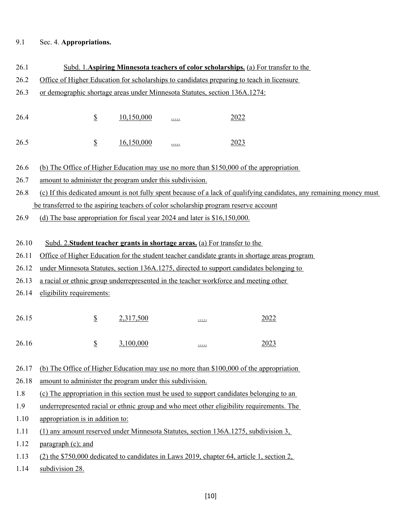## 9.1 Sec. 4. **Appropriations.**

| 26.1  | Subd. 1. Aspiring Minnesota teachers of color scholarships. (a) For transfer to the                                  |  |  |  |
|-------|----------------------------------------------------------------------------------------------------------------------|--|--|--|
| 26.2  | Office of Higher Education for scholarships to candidates preparing to teach in licensure                            |  |  |  |
| 26.3  | or demographic shortage areas under Minnesota Statutes, section 136A.1274:                                           |  |  |  |
|       |                                                                                                                      |  |  |  |
| 26.4  | $\underline{\mathbb{S}}$<br>10,150,000<br>2022<br><u></u>                                                            |  |  |  |
|       |                                                                                                                      |  |  |  |
| 26.5  | $\underline{\mathbb{S}}$<br>16,150,000<br>2023<br><u></u>                                                            |  |  |  |
|       |                                                                                                                      |  |  |  |
| 26.6  | (b) The Office of Higher Education may use no more than \$150,000 of the appropriation                               |  |  |  |
| 26.7  | amount to administer the program under this subdivision.                                                             |  |  |  |
| 26.8  | (c) If this dedicated amount is not fully spent because of a lack of qualifying candidates, any remaining money must |  |  |  |
|       | be transferred to the aspiring teachers of color scholarship program reserve account                                 |  |  |  |
| 26.9  | (d) The base appropriation for fiscal year 2024 and later is \$16,150,000.                                           |  |  |  |
|       |                                                                                                                      |  |  |  |
| 26.10 | Subd. 2. Student teacher grants in shortage areas. (a) For transfer to the                                           |  |  |  |
| 26.11 | Office of Higher Education for the student teacher candidate grants in shortage areas program                        |  |  |  |
| 26.12 | under Minnesota Statutes, section 136A.1275, directed to support candidates belonging to                             |  |  |  |
| 26.13 | a racial or ethnic group underrepresented in the teacher workforce and meeting other                                 |  |  |  |
| 26.14 | eligibility requirements:                                                                                            |  |  |  |
|       |                                                                                                                      |  |  |  |
| 26.15 | $\underline{\mathbb{S}}$<br>2,317,500<br>2022<br>$\cdots$                                                            |  |  |  |
|       |                                                                                                                      |  |  |  |
| 26.16 | $\overline{\mathbb{S}}$<br>3,100,000<br>2023<br>$\cdots$                                                             |  |  |  |
|       |                                                                                                                      |  |  |  |
| 26.17 | (b) The Office of Higher Education may use no more than \$100,000 of the appropriation                               |  |  |  |
| 26.18 | amount to administer the program under this subdivision.                                                             |  |  |  |
| 1.8   | (c) The appropriation in this section must be used to support candidates belonging to an                             |  |  |  |
| 1.9   | underrepresented racial or ethnic group and who meet other eligibility requirements. The                             |  |  |  |
| 1.10  | appropriation is in addition to:                                                                                     |  |  |  |
| 1.11  | (1) any amount reserved under Minnesota Statutes, section 136A.1275, subdivision 3,                                  |  |  |  |
| 1.12  | paragraph (c); and                                                                                                   |  |  |  |
| 1.13  | $(2)$ the \$750,000 dedicated to candidates in Laws 2019, chapter 64, article 1, section 2,                          |  |  |  |
| 1.14  | subdivision 28.                                                                                                      |  |  |  |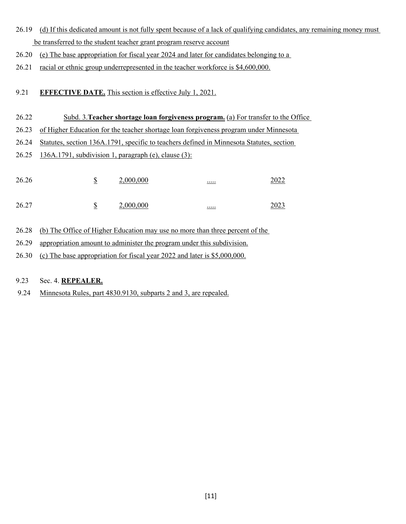- 26.19 (d) If this dedicated amount is not fully spent because of a lack of qualifying candidates, any remaining money must be transferred to the student teacher grant program reserve account
- 26.20 (e) The base appropriation for fiscal year 2024 and later for candidates belonging to a
- 26.21 racial or ethnic group underrepresented in the teacher workforce is \$4,600,000.

### 9.21 **EFFECTIVE DATE.** This section is effective July 1, 2021.

- 26.22 Subd. 3.**Teacher shortage loan forgiveness program.** (a) For transfer to the Office
- 26.23 of Higher Education for the teacher shortage loan forgiveness program under Minnesota
- 26.24 Statutes, section 136A.1791, specific to teachers defined in Minnesota Statutes, section
- 26.25 136A.1791, subdivision 1, paragraph (e), clause (3):

| 26.26 | ۵D<br>- | 2,000,000 | <u></u>                  | າ∩າາ<br>LULL |
|-------|---------|-----------|--------------------------|--------------|
| 26.27 | ۵D      | 2,000,000 | $\cdots \cdots$<br>_____ | า∩าว<br>د∠∪∠ |

- 26.28 (b) The Office of Higher Education may use no more than three percent of the
- 26.29 appropriation amount to administer the program under this subdivision.
- 26.30 (c) The base appropriation for fiscal year 2022 and later is \$5,000,000.

### 9.23 Sec. 4. **REPEALER.**

9.24 Minnesota Rules, part 4830.9130, subparts 2 and 3, are repealed.